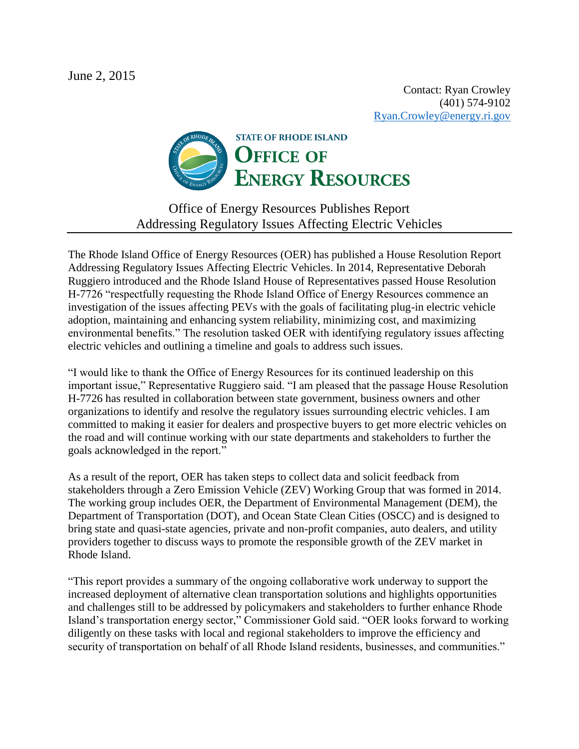June 2, 2015

Contact: Ryan Crowley (401) 574-9102 [Ryan.Crowley@energy.ri.gov](mailto:Ryan.Crowley@energy.ri.gov)



## Office of Energy Resources Publishes Report Addressing Regulatory Issues Affecting Electric Vehicles

The Rhode Island Office of Energy Resources (OER) has published a House Resolution Report Addressing Regulatory Issues Affecting Electric Vehicles. In 2014, Representative Deborah Ruggiero introduced and the Rhode Island House of Representatives passed House Resolution H-7726 "respectfully requesting the Rhode Island Office of Energy Resources commence an investigation of the issues affecting PEVs with the goals of facilitating plug-in electric vehicle adoption, maintaining and enhancing system reliability, minimizing cost, and maximizing environmental benefits." The resolution tasked OER with identifying regulatory issues affecting electric vehicles and outlining a timeline and goals to address such issues.

"I would like to thank the Office of Energy Resources for its continued leadership on this important issue," Representative Ruggiero said. "I am pleased that the passage House Resolution H-7726 has resulted in collaboration between state government, business owners and other organizations to identify and resolve the regulatory issues surrounding electric vehicles. I am committed to making it easier for dealers and prospective buyers to get more electric vehicles on the road and will continue working with our state departments and stakeholders to further the goals acknowledged in the report."

As a result of the report, OER has taken steps to collect data and solicit feedback from stakeholders through a Zero Emission Vehicle (ZEV) Working Group that was formed in 2014. The working group includes OER, the Department of Environmental Management (DEM), the Department of Transportation (DOT), and Ocean State Clean Cities (OSCC) and is designed to bring state and quasi-state agencies, private and non-profit companies, auto dealers, and utility providers together to discuss ways to promote the responsible growth of the ZEV market in Rhode Island.

"This report provides a summary of the ongoing collaborative work underway to support the increased deployment of alternative clean transportation solutions and highlights opportunities and challenges still to be addressed by policymakers and stakeholders to further enhance Rhode Island's transportation energy sector," Commissioner Gold said. "OER looks forward to working diligently on these tasks with local and regional stakeholders to improve the efficiency and security of transportation on behalf of all Rhode Island residents, businesses, and communities."